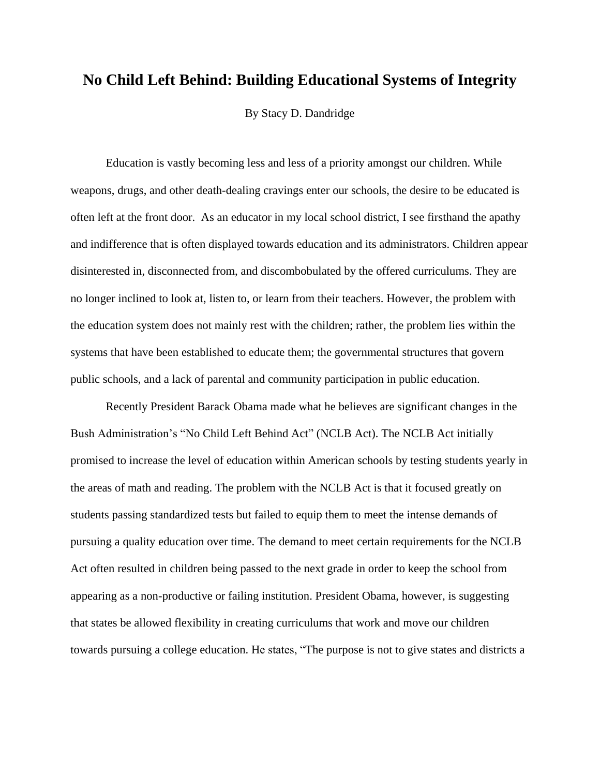## **No Child Left Behind: Building Educational Systems of Integrity**

By Stacy D. Dandridge

Education is vastly becoming less and less of a priority amongst our children. While weapons, drugs, and other death-dealing cravings enter our schools, the desire to be educated is often left at the front door. As an educator in my local school district, I see firsthand the apathy and indifference that is often displayed towards education and its administrators. Children appear disinterested in, disconnected from, and discombobulated by the offered curriculums. They are no longer inclined to look at, listen to, or learn from their teachers. However, the problem with the education system does not mainly rest with the children; rather, the problem lies within the systems that have been established to educate them; the governmental structures that govern public schools, and a lack of parental and community participation in public education.

Recently President Barack Obama made what he believes are significant changes in the Bush Administration's "No Child Left Behind Act" (NCLB Act). The NCLB Act initially promised to increase the level of education within American schools by testing students yearly in the areas of math and reading. The problem with the NCLB Act is that it focused greatly on students passing standardized tests but failed to equip them to meet the intense demands of pursuing a quality education over time. The demand to meet certain requirements for the NCLB Act often resulted in children being passed to the next grade in order to keep the school from appearing as a non-productive or failing institution. President Obama, however, is suggesting that states be allowed flexibility in creating curriculums that work and move our children towards pursuing a college education. He states, "The purpose is not to give states and districts a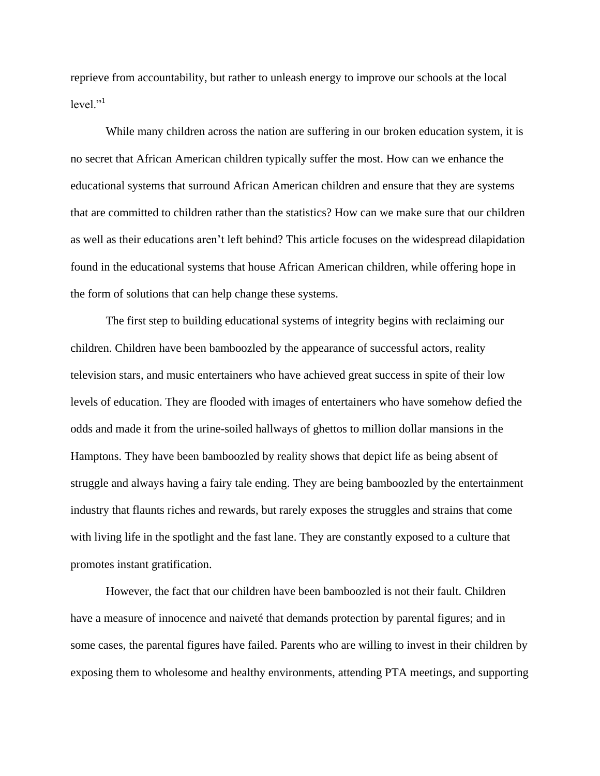reprieve from accountability, but rather to unleash energy to improve our schools at the local  $level.$ <sup>"1</sup>

While many children across the nation are suffering in our broken education system, it is no secret that African American children typically suffer the most. How can we enhance the educational systems that surround African American children and ensure that they are systems that are committed to children rather than the statistics? How can we make sure that our children as well as their educations aren't left behind? This article focuses on the widespread dilapidation found in the educational systems that house African American children, while offering hope in the form of solutions that can help change these systems.

The first step to building educational systems of integrity begins with reclaiming our children. Children have been bamboozled by the appearance of successful actors, reality television stars, and music entertainers who have achieved great success in spite of their low levels of education. They are flooded with images of entertainers who have somehow defied the odds and made it from the urine-soiled hallways of ghettos to million dollar mansions in the Hamptons. They have been bamboozled by reality shows that depict life as being absent of struggle and always having a fairy tale ending. They are being bamboozled by the entertainment industry that flaunts riches and rewards, but rarely exposes the struggles and strains that come with living life in the spotlight and the fast lane. They are constantly exposed to a culture that promotes instant gratification.

However, the fact that our children have been bamboozled is not their fault. Children have a measure of innocence and naiveté that demands protection by parental figures; and in some cases, the parental figures have failed. Parents who are willing to invest in their children by exposing them to wholesome and healthy environments, attending PTA meetings, and supporting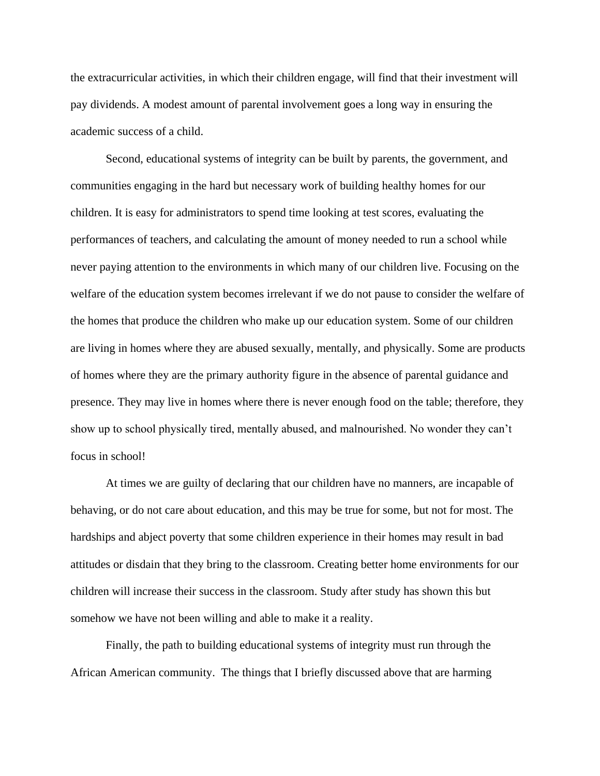the extracurricular activities, in which their children engage, will find that their investment will pay dividends. A modest amount of parental involvement goes a long way in ensuring the academic success of a child.

Second, educational systems of integrity can be built by parents, the government, and communities engaging in the hard but necessary work of building healthy homes for our children. It is easy for administrators to spend time looking at test scores, evaluating the performances of teachers, and calculating the amount of money needed to run a school while never paying attention to the environments in which many of our children live. Focusing on the welfare of the education system becomes irrelevant if we do not pause to consider the welfare of the homes that produce the children who make up our education system. Some of our children are living in homes where they are abused sexually, mentally, and physically. Some are products of homes where they are the primary authority figure in the absence of parental guidance and presence. They may live in homes where there is never enough food on the table; therefore, they show up to school physically tired, mentally abused, and malnourished. No wonder they can't focus in school!

At times we are guilty of declaring that our children have no manners, are incapable of behaving, or do not care about education, and this may be true for some, but not for most. The hardships and abject poverty that some children experience in their homes may result in bad attitudes or disdain that they bring to the classroom. Creating better home environments for our children will increase their success in the classroom. Study after study has shown this but somehow we have not been willing and able to make it a reality.

Finally, the path to building educational systems of integrity must run through the African American community. The things that I briefly discussed above that are harming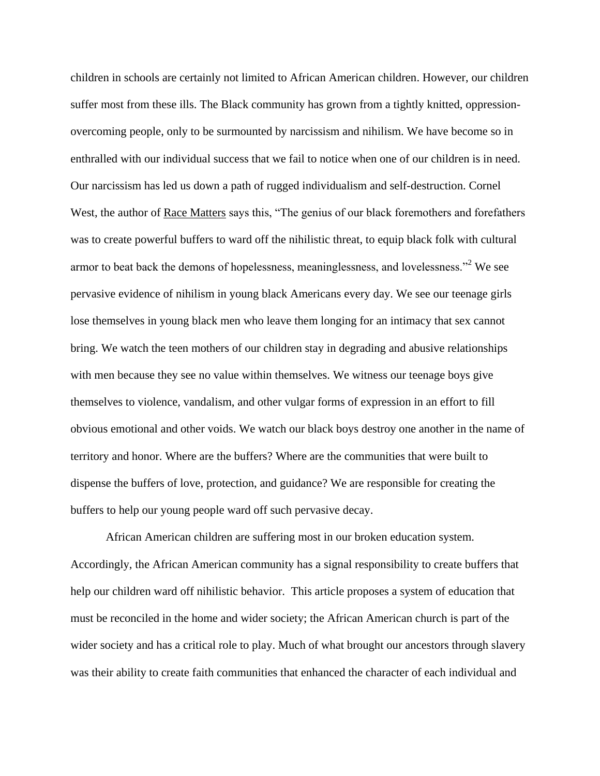children in schools are certainly not limited to African American children. However, our children suffer most from these ills. The Black community has grown from a tightly knitted, oppressionovercoming people, only to be surmounted by narcissism and nihilism. We have become so in enthralled with our individual success that we fail to notice when one of our children is in need. Our narcissism has led us down a path of rugged individualism and self-destruction. Cornel West, the author of Race Matters says this, "The genius of our black foremothers and forefathers was to create powerful buffers to ward off the nihilistic threat, to equip black folk with cultural armor to beat back the demons of hopelessness, meaninglessness, and lovelessness."<sup>2</sup> We see pervasive evidence of nihilism in young black Americans every day. We see our teenage girls lose themselves in young black men who leave them longing for an intimacy that sex cannot bring. We watch the teen mothers of our children stay in degrading and abusive relationships with men because they see no value within themselves. We witness our teenage boys give themselves to violence, vandalism, and other vulgar forms of expression in an effort to fill obvious emotional and other voids. We watch our black boys destroy one another in the name of territory and honor. Where are the buffers? Where are the communities that were built to dispense the buffers of love, protection, and guidance? We are responsible for creating the buffers to help our young people ward off such pervasive decay.

African American children are suffering most in our broken education system. Accordingly, the African American community has a signal responsibility to create buffers that help our children ward off nihilistic behavior. This article proposes a system of education that must be reconciled in the home and wider society; the African American church is part of the wider society and has a critical role to play. Much of what brought our ancestors through slavery was their ability to create faith communities that enhanced the character of each individual and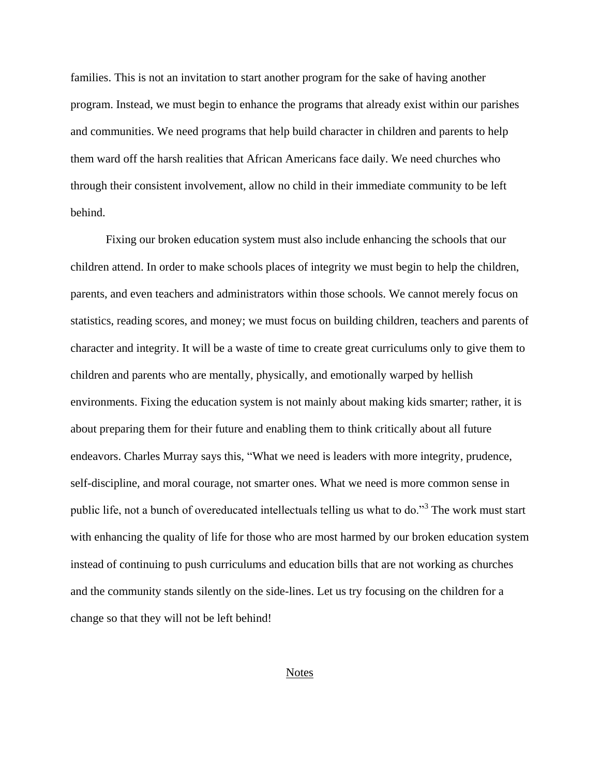families. This is not an invitation to start another program for the sake of having another program. Instead, we must begin to enhance the programs that already exist within our parishes and communities. We need programs that help build character in children and parents to help them ward off the harsh realities that African Americans face daily. We need churches who through their consistent involvement, allow no child in their immediate community to be left behind.

Fixing our broken education system must also include enhancing the schools that our children attend. In order to make schools places of integrity we must begin to help the children, parents, and even teachers and administrators within those schools. We cannot merely focus on statistics, reading scores, and money; we must focus on building children, teachers and parents of character and integrity. It will be a waste of time to create great curriculums only to give them to children and parents who are mentally, physically, and emotionally warped by hellish environments. Fixing the education system is not mainly about making kids smarter; rather, it is about preparing them for their future and enabling them to think critically about all future endeavors. Charles Murray says this, "What we need is leaders with more integrity, prudence, self-discipline, and moral courage, not smarter ones. What we need is more common sense in public life, not a bunch of overeducated intellectuals telling us what to do."<sup>3</sup> The work must start with enhancing the quality of life for those who are most harmed by our broken education system instead of continuing to push curriculums and education bills that are not working as churches and the community stands silently on the side-lines. Let us try focusing on the children for a change so that they will not be left behind!

## **Notes**